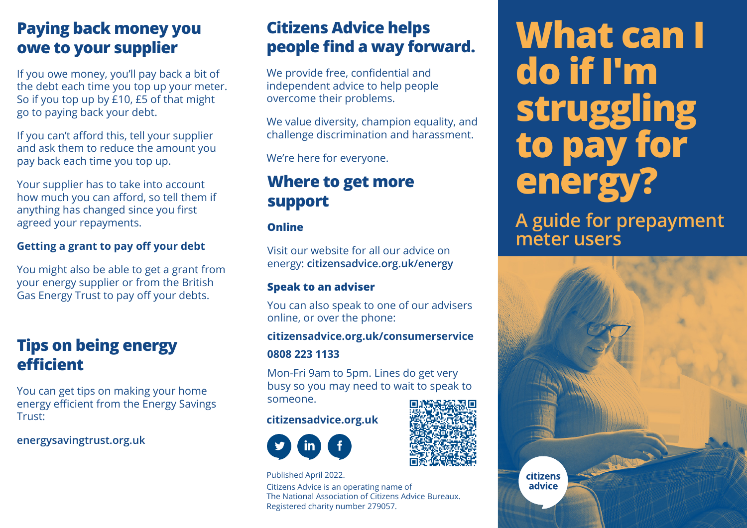# **Paying back money you owe to your supplier**

If you owe money, you'll pay back a bit of the debt each time you top up your meter. So if you top up by £10, £5 of that might go to paying back your debt.

If you can't afford this, tell your supplier and ask them to reduce the amount you pay back each time you top up.

Your supplier has to take into account how much you can afford, so tell them if anything has changed since you first agreed your repayments.

### **Getting a grant to pay off your debt**

You might also be able to get a grant from your energy supplier or from the British Gas Energy Trust to pay off your debts.

# **Tips on being energy efficient**

You can get tips on making your home energy efficient from the Energy Savings Trust:

**energysavingtrust.org.uk**

# **Citizens Advice helps people find a way forward.**

We provide free, confidential and independent advice to help people overcome their problems.

We value diversity, champion equality, and challenge discrimination and harassment.

We're here for everyone.

### **Where to get more support**

### **Online**

Visit our website for all our advice on energy: **citizensadvice.org.uk/energy**

### **Speak to an adviser**

You can also speak to one of our advisers online, or over the phone:

### **citizensadvice.org.uk/consumerservice**

### **0808 223 1133**

Mon-Fri 9am to 5pm. Lines do get very busy so you may need to wait to speak to someone.

### **citizensadvice.org.uk**



Published April 2022.

Citizens Advice is an operating name of The National Association of Citizens Advice Bureaux. Registered charity number 279057.

# **What can I do if I'm struggling to pay for energy?**

**A guide for prepayment meter users**